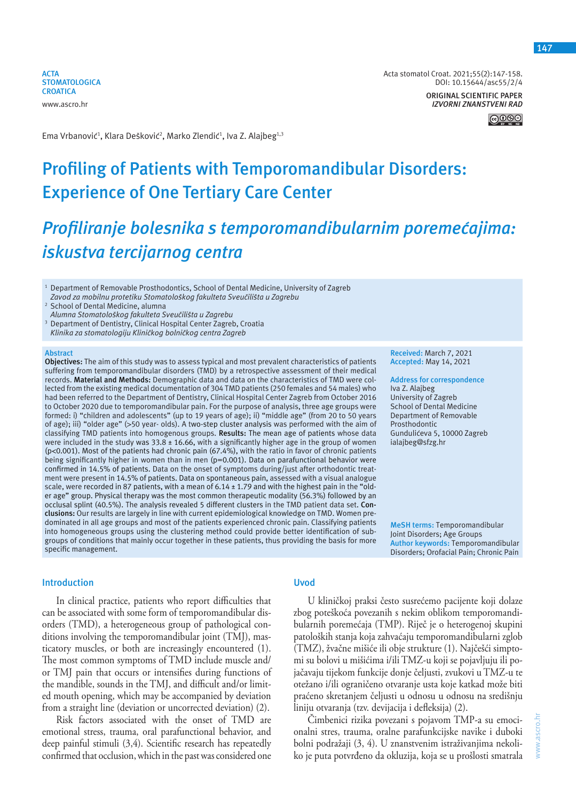**ACTA STOMATOLOGICA CROATICA** www.ascro.hr

Acta stomatol Croat. 2021;55(2):147-158. DOI: 10.15644/asc55/2/4

> **ORIGINAL SCIENTIFIC PAPER** *IZVORNI ZNANSTVENI RAD*

> > <u>මෙලා ල</u>

Ema Vrbanović<sup>1</sup>, Klara Dešković<sup>2</sup>, Marko Zlendić<sup>1</sup>, Iva Z. Alajbeg<sup>1,3</sup>

# **Profiling of Patients with Temporomandibular Disorders: Experience of One Tertiary Care Center**

# *Profiliranje bolesnika s temporomandibularnim poremećajima: iskustva tercijarnog centra*

<sup>1</sup> Department of Removable Prosthodontics, School of Dental Medicine, University of Zagreb *Zavod za mobilnu protetiku Stomatološkog fakulteta Sveučilišta u Zagrebu*

2 School of Dental Medicine, alumna *Alumna Stomatološkog fakulteta Sveučilišta u Zagrebu*

- <sup>3</sup> Department of Dentistry, Clinical Hospital Center Zagreb, Croatia
- *Klinika za stomatologiju Kliničkog bolničkog centra Zagreb*

#### **Abstract**

**Objectives:** The aim of this study was to assess typical and most prevalent characteristics of patients suffering from temporomandibular disorders (TMD) by a retrospective assessment of their medical records. **Material and Methods:** Demographic data and data on the characteristics of TMD were collected from the existing medical documentation of 304 TMD patients (250 females and 54 males) who had been referred to the Department of Dentistry, Clinical Hospital Center Zagreb from October 2016 to October 2020 due to temporomandibular pain. For the purpose of analysis, three age groups were formed: i) "children and adolescents" (up to 19 years of age); ii) "middle age" (from 20 to 50 years of age); iii) "older age" (>50 year- olds). A two-step cluster analysis was performed with the aim of classifying TMD patients into homogenous groups. **Results:** The mean age of patients whose data were included in the study was  $33.8 \pm 16.66$ , with a significantly higher age in the group of women (p<0.001). Most of the patients had chronic pain (67.4%), with the ratio in favor of chronic patients being significantly higher in women than in men (p=0.001). Data on parafunctional behavior were confirmed in 14.5% of patients. Data on the onset of symptoms during/just after orthodontic treatment were present in 14.5% of patients. Data on spontaneous pain, assessed with a visual analogue scale, were recorded in 87 patients, with a mean of 6.14 ± 1.79 and with the highest pain in the "older age" group. Physical therapy was the most common therapeutic modality (56.3%) followed by an occlusal splint (40.5%). The analysis revealed 5 different clusters in the TMD patient data set. **Conclusions:** Our results are largely in line with current epidemiological knowledge on TMD. Women predominated in all age groups and most of the patients experienced chronic pain. Classifying patients into homogeneous groups using the clustering method could provide better identification of subgroups of conditions that mainly occur together in these patients, thus providing the basis for more specific management.

#### **Introduction**

In clinical practice, patients who report difficulties that can be associated with some form of temporomandibular disorders (TMD), a heterogeneous group of pathological conditions involving the temporomandibular joint (TMJ), masticatory muscles, or both are increasingly encountered (1). The most common symptoms of TMD include muscle and/ or TMJ pain that occurs or intensifies during functions of the mandible, sounds in the TMJ, and difficult and/or limited mouth opening, which may be accompanied by deviation from a straight line (deviation or uncorrected deviation) (2).

Risk factors associated with the onset of TMD are emotional stress, trauma, oral parafunctional behavior, and deep painful stimuli (3,4). Scientific research has repeatedly confirmed that occlusion, which in the past was considered one

# **Uvod**

U kliničkoj praksi često susrećemo pacijente koji dolaze zbog poteškoća povezanih s nekim oblikom temporomandibularnih poremećaja (TMP). Riječ je o heterogenoj skupini patoloških stanja koja zahvaćaju temporomandibularni zglob (TMZ), žvačne mišiće ili obje strukture (1). Najčešći simptomi su bolovi u mišićima i/ili TMZ-u koji se pojavljuju ili pojačavaju tijekom funkcije donje čeljusti, zvukovi u TMZ-u te otežano i/ili ograničeno otvaranje usta koje katkad može biti praćeno skretanjem čeljusti u odnosu u odnosu na središnju liniju otvaranja (tzv. devijacija i defleksija) (2).

Čimbenici rizika povezani s pojavom TMP-a su emocionalni stres, trauma, oralne parafunkcijske navike i duboki bolni podražaji (3, 4). U znanstvenim istraživanjima nekoliko je puta potvrđeno da okluzija, koja se u prošlosti smatrala **147**

**Received:** March 7, 2021 **Accepted:** May 14, 2021

**Address for correspondence** Iva Z. Alajbeg University of Zagreb School of Dental Medicine Department of Removable Prosthodontic Gundulićeva 5, 10000 Zagreb

ialajbeg@sfzg.hr

**MeSH terms:** Temporomandibular Joint Disorders; Age Groups **Author keywords:** Temporomandibular Disorders; Orofacial Pain; Chronic Pain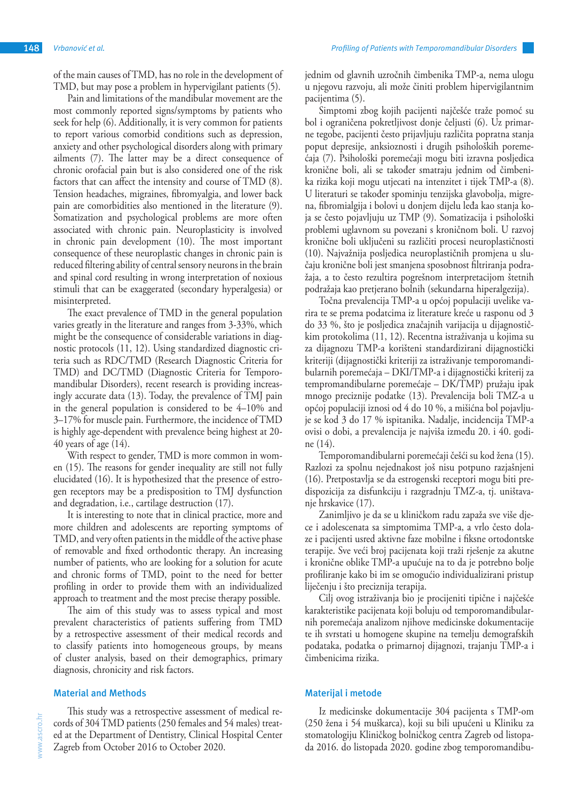of the main causes of TMD, has no role in the development of TMD, but may pose a problem in hypervigilant patients (5).

Pain and limitations of the mandibular movement are the most commonly reported signs/symptoms by patients who seek for help (6). Additionally, it is very common for patients to report various comorbid conditions such as depression, anxiety and other psychological disorders along with primary ailments (7). The latter may be a direct consequence of chronic orofacial pain but is also considered one of the risk factors that can affect the intensity and course of TMD (8). Tension headaches, migraines, fibromyalgia, and lower back pain are comorbidities also mentioned in the literature (9). Somatization and psychological problems are more often associated with chronic pain. Neuroplasticity is involved in chronic pain development (10). The most important consequence of these neuroplastic changes in chronic pain is reduced filtering ability of central sensory neurons in the brain and spinal cord resulting in wrong interpretation of noxious stimuli that can be exaggerated (secondary hyperalgesia) or misinterpreted.

The exact prevalence of TMD in the general population varies greatly in the literature and ranges from 3-33%, which might be the consequence of considerable variations in diagnostic protocols (11, 12). Using standardized diagnostic criteria such as RDC/TMD (Research Diagnostic Criteria for TMD) and DC/TMD (Diagnostic Criteria for Temporomandibular Disorders), recent research is providing increasingly accurate data (13). Today, the prevalence of TMJ pain in the general population is considered to be 4–10% and 3–17% for muscle pain. Furthermore, the incidence of TMD is highly age-dependent with prevalence being highest at 20- 40 years of age (14).

With respect to gender, TMD is more common in women (15). The reasons for gender inequality are still not fully elucidated (16). It is hypothesized that the presence of estrogen receptors may be a predisposition to TMJ dysfunction and degradation, i.e., cartilage destruction (17).

It is interesting to note that in clinical practice, more and more children and adolescents are reporting symptoms of TMD, and very often patients in the middle of the active phase of removable and fixed orthodontic therapy. An increasing number of patients, who are looking for a solution for acute and chronic forms of TMD, point to the need for better profiling in order to provide them with an individualized approach to treatment and the most precise therapy possible.

The aim of this study was to assess typical and most prevalent characteristics of patients suffering from TMD by a retrospective assessment of their medical records and to classify patients into homogeneous groups, by means of cluster analysis, based on their demographics, primary diagnosis, chronicity and risk factors.

#### **Material and Methods**

This study was a retrospective assessment of medical records of 304 TMD patients (250 females and 54 males) treated at the Department of Dentistry, Clinical Hospital Center Zagreb from October 2016 to October 2020.

jednim od glavnih uzročnih čimbenika TMP-a, nema ulogu u njegovu razvoju, ali može činiti problem hipervigilantnim pacijentima (5).

Simptomi zbog kojih pacijenti najčešće traže pomoć su bol i ograničena pokretljivost donje čeljusti (6). Uz primarne tegobe, pacijenti često prijavljuju različita popratna stanja poput depresije, anksioznosti i drugih psiholoških poremećaja (7). Psihološki poremećaji mogu biti izravna posljedica kronične boli, ali se također smatraju jednim od čimbenika rizika koji mogu utjecati na intenzitet i tijek TMP-a (8). U literaturi se također spominju tenzijska glavobolja, migrena, fibromialgija i bolovi u donjem dijelu leđa kao stanja koja se često pojavljuju uz TMP (9). Somatizacija i psihološki problemi uglavnom su povezani s kroničnom boli. U razvoj kronične boli uključeni su različiti procesi neuroplastičnosti (10). Najvažnija posljedica neuroplastičnih promjena u slučaju kronične boli jest smanjena sposobnost filtriranja podražaja, a to često rezultira pogrešnom interpretacijom štetnih podražaja kao pretjerano bolnih (sekundarna hiperalgezija).

Točna prevalencija TMP-a u općoj populaciji uvelike varira te se prema podatcima iz literature kreće u rasponu od 3 do 33 %, što je posljedica značajnih varijacija u dijagnostičkim protokolima (11, 12). Recentna istraživanja u kojima su za dijagnozu TMP-a korišteni standardizirani dijagnostički kriteriji (dijagnostički kriteriji za istraživanje temporomandibularnih poremećaja – DKI/TMP-a i dijagnostički kriterij za tempromandibularne poremećaje – DK/TMP) pružaju ipak mnogo preciznije podatke (13). Prevalencija boli TMZ-a u općoj populaciji iznosi od 4 do 10 %, a mišićna bol pojavljuje se kod 3 do 17 % ispitanika. Nadalje, incidencija TMP-a ovisi o dobi, a prevalencija je najviša između 20. i 40. godine (14).

Temporomandibularni poremećaji češći su kod žena (15). Razlozi za spolnu nejednakost još nisu potpuno razjašnjeni (16). Pretpostavlja se da estrogenski receptori mogu biti predispozicija za disfunkciju i razgradnju TMZ-a, tj. uništavanje hrskavice (17).

Zanimljivo je da se u kliničkom radu zapaža sve više djece i adolescenata sa simptomima TMP-a, a vrlo često dolaze i pacijenti usred aktivne faze mobilne i fiksne ortodontske terapije. Sve veći broj pacijenata koji traži rješenje za akutne i kronične oblike TMP-a upućuje na to da je potrebno bolje profiliranje kako bi im se omogućio individualizirani pristup liječenju i što preciznija terapija.

Cilj ovog istraživanja bio je procijeniti tipične i najčešće karakteristike pacijenata koji boluju od temporomandibularnih poremećaja analizom njihove medicinske dokumentacije te ih svrstati u homogene skupine na temelju demografskih podataka, podatka o primarnoj dijagnozi, trajanju TMP-a i čimbenicima rizika.

#### **Materijal i metode**

Iz medicinske dokumentacije 304 pacijenta s TMP-om (250 žena i 54 muškarca), koji su bili upućeni u Kliniku za stomatologiju Kliničkog bolničkog centra Zagreb od listopada 2016. do listopada 2020. godine zbog temporomandibu-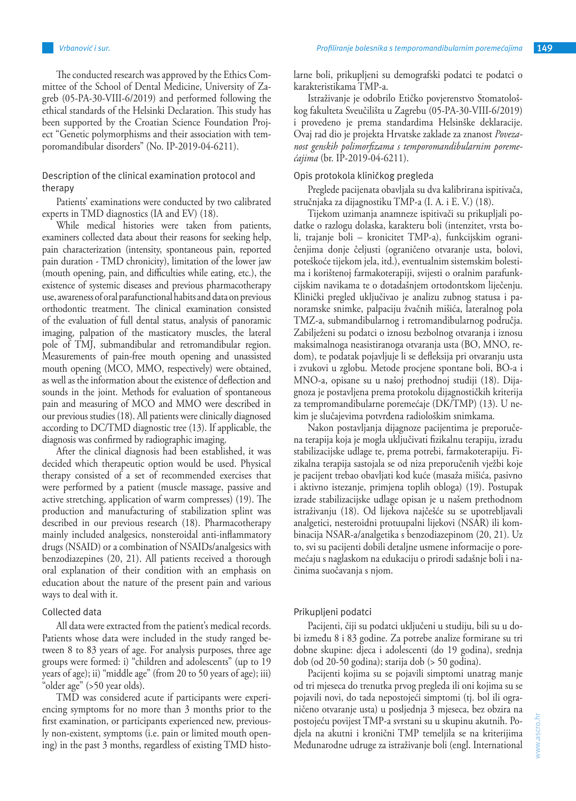The conducted research was approved by the Ethics Committee of the School of Dental Medicine, University of Zagreb (05-PA-30-VIII-6/2019) and performed following the ethical standards of the Helsinki Declaration. This study has been supported by the Croatian Science Foundation Project "Genetic polymorphisms and their association with temporomandibular disorders" (No. IP-2019-04-6211).

# Description of the clinical examination protocol and therapy

Patients' examinations were conducted by two calibrated experts in TMD diagnostics (IA and EV) (18).

While medical histories were taken from patients, examiners collected data about their reasons for seeking help, pain characterization (intensity, spontaneous pain, reported pain duration - TMD chronicity), limitation of the lower jaw (mouth opening, pain, and difficulties while eating, etc.), the existence of systemic diseases and previous pharmacotherapy use, awareness of oral parafunctional habits and data on previous orthodontic treatment. The clinical examination consisted of the evaluation of full dental status, analysis of panoramic imaging, palpation of the masticatory muscles, the lateral pole of TMJ, submandibular and retromandibular region. Measurements of pain-free mouth opening and unassisted mouth opening (MCO, MMO, respectively) were obtained, as well as the information about the existence of deflection and sounds in the joint. Methods for evaluation of spontaneous pain and measuring of MCO and MMO were described in our previous studies (18). All patients were clinically diagnosed according to DC/TMD diagnostic tree (13). If applicable, the diagnosis was confirmed by radiographic imaging.

After the clinical diagnosis had been established, it was decided which therapeutic option would be used. Physical therapy consisted of a set of recommended exercises that were performed by a patient (muscle massage, passive and active stretching, application of warm compresses) (19). The production and manufacturing of stabilization splint was described in our previous research (18). Pharmacotherapy mainly included analgesics, nonsteroidal anti-inflammatory drugs (NSAID) or a combination of NSAIDs/analgesics with benzodiazepines (20, 21). All patients received a thorough oral explanation of their condition with an emphasis on education about the nature of the present pain and various ways to deal with it.

### Collected data

All data were extracted from the patient's medical records. Patients whose data were included in the study ranged between 8 to 83 years of age. For analysis purposes, three age groups were formed: i) "children and adolescents" (up to 19 years of age); ii) "middle age" (from 20 to 50 years of age); iii) "older age" (>50 year olds).

TMD was considered acute if participants were experiencing symptoms for no more than 3 months prior to the first examination, or participants experienced new, previously non-existent, symptoms (i.e. pain or limited mouth opening) in the past 3 months, regardless of existing TMD histolarne boli, prikupljeni su demografski podatci te podatci o karakteristikama TMP-a.

Istraživanje je odobrilo Etičko povjerenstvo Stomatološkog fakulteta Sveučilišta u Zagrebu (05-PA-30-VIII-6/2019) i provedeno je prema standardima Helsinške deklaracije. Ovaj rad dio je projekta Hrvatske zaklade za znanost *Povezanost genskih polimorfizama s temporomandibularnim poremećajima* (br. IP-2019-04-6211).

# Opis protokola kliničkog pregleda

Preglede pacijenata obavljala su dva kalibrirana ispitivača, stručnjaka za dijagnostiku TMP-a (I. A. i E. V.) (18).

Tijekom uzimanja anamneze ispitivači su prikupljali podatke o razlogu dolaska, karakteru boli (intenzitet, vrsta boli, trajanje boli – kronicitet TMP-a), funkcijskim ograničenjima donje čeljusti (ograničeno otvaranje usta, bolovi, poteškoće tijekom jela, itd.), eventualnim sistemskim bolestima i korištenoj farmakoterapiji, svijesti o oralnim parafunkcijskim navikama te o dotadašnjem ortodontskom liječenju. Klinički pregled uključivao je analizu zubnog statusa i panoramske snimke, palpaciju žvačnih mišića, lateralnog pola TMZ-a, submandibularnog i retromandibularnog područja. Zabilježeni su podatci o iznosu bezbolnog otvaranja i iznosu maksimalnoga neasistiranoga otvaranja usta (BO, MNO, redom), te podatak pojavljuje li se defleksija pri otvaranju usta i zvukovi u zglobu. Metode procjene spontane boli, BO-a i MNO-a, opisane su u našoj prethodnoj studiji (18). Dijagnoza je postavljena prema protokolu dijagnostičkih kriterija za tempromandibularne poremećaje (DK/TMP) (13). U nekim je slučajevima potvrđena radiološkim snimkama.

Nakon postavljanja dijagnoze pacijentima je preporučena terapija koja je mogla uključivati fizikalnu terapiju, izradu stabilizacijske udlage te, prema potrebi, farmakoterapiju. Fizikalna terapija sastojala se od niza preporučenih vježbi koje je pacijent trebao obavljati kod kuće (masaža mišića, pasivno i aktivno istezanje, primjena toplih obloga) (19). Postupak izrade stabilizacijske udlage opisan je u našem prethodnom istraživanju (18). Od lijekova najčešće su se upotrebljavali analgetici, nesteroidni protuupalni lijekovi (NSAR) ili kombinacija NSAR-a/analgetika s benzodiazepinom (20, 21). Uz to, svi su pacijenti dobili detaljne usmene informacije o poremećaju s naglaskom na edukaciju o prirodi sadašnje boli i načinima suočavanja s njom.

#### Prikupljeni podatci

Pacijenti, čiji su podatci uključeni u studiju, bili su u dobi između 8 i 83 godine. Za potrebe analize formirane su tri dobne skupine: djeca i adolescenti (do 19 godina), srednja dob (od 20-50 godina); starija dob (> 50 godina).

Pacijenti kojima su se pojavili simptomi unatrag manje od tri mjeseca do trenutka prvog pregleda ili oni kojima su se pojavili novi, do tada nepostojeći simptomi (tj. bol ili ograničeno otvaranje usta) u posljednja 3 mjeseca, bez obzira na postojeću povijest TMP-a svrstani su u skupinu akutnih. Podjela na akutni i kronični TMP temeljila se na kriterijima Međunarodne udruge za istraživanje boli (engl. International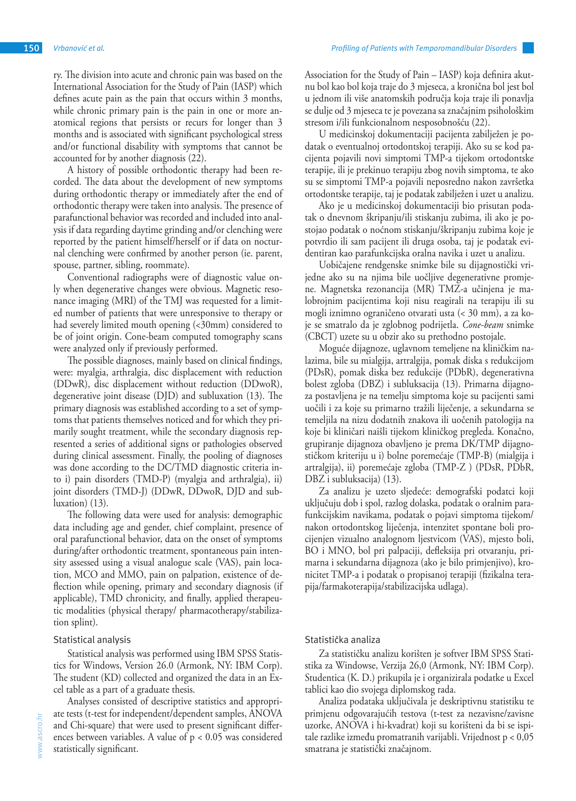ry. The division into acute and chronic pain was based on the International Association for the Study of Pain (IASP) which defines acute pain as the pain that occurs within 3 months, while chronic primary pain is the pain in one or more anatomical regions that persists or recurs for longer than 3 months and is associated with significant psychological stress and/or functional disability with symptoms that cannot be accounted for by another diagnosis (22).

A history of possible orthodontic therapy had been recorded. The data about the development of new symptoms during orthodontic therapy or immediately after the end of orthodontic therapy were taken into analysis. The presence of parafunctional behavior was recorded and included into analysis if data regarding daytime grinding and/or clenching were reported by the patient himself/herself or if data on nocturnal clenching were confirmed by another person (ie. parent, spouse, partner, sibling, roommate).

Conventional radiographs were of diagnostic value only when degenerative changes were obvious. Magnetic resonance imaging (MRI) of the TMJ was requested for a limited number of patients that were unresponsive to therapy or had severely limited mouth opening (<30mm) considered to be of joint origin. Cone-beam computed tomography scans were analyzed only if previously performed.

The possible diagnoses, mainly based on clinical findings, were: myalgia, arthralgia, disc displacement with reduction (DDwR), disc displacement without reduction (DDwoR), degenerative joint disease (DJD) and subluxation (13). The primary diagnosis was established according to a set of symptoms that patients themselves noticed and for which they primarily sought treatment, while the secondary diagnosis represented a series of additional signs or pathologies observed during clinical assessment. Finally, the pooling of diagnoses was done according to the DC/TMD diagnostic criteria into i) pain disorders (TMD-P) (myalgia and arthralgia), ii) joint disorders (TMD-J) (DDwR, DDwoR, DJD and subluxation) (13).

The following data were used for analysis: demographic data including age and gender, chief complaint, presence of oral parafunctional behavior, data on the onset of symptoms during/after orthodontic treatment, spontaneous pain intensity assessed using a visual analogue scale (VAS), pain location, MCO and MMO, pain on palpation, existence of deflection while opening, primary and secondary diagnosis (if applicable), TMD chronicity, and finally, applied therapeutic modalities (physical therapy/ pharmacotherapy/stabilization splint).

#### Statistical analysis

Statistical analysis was performed using IBM SPSS Statistics for Windows, Version 26.0 (Armonk, NY: IBM Corp). The student (KD) collected and organized the data in an Excel table as a part of a graduate thesis.

Analyses consisted of descriptive statistics and appropriate tests (t-test for independent/dependent samples, ANOVA and Chi-square) that were used to present significant differences between variables. A value of  $p < 0.05$  was considered statistically significant.

Association for the Study of Pain – IASP) koja definira akutnu bol kao bol koja traje do 3 mjeseca, a kronična bol jest bol u jednom ili više anatomskih područja koja traje ili ponavlja se dulje od 3 mjeseca te je povezana sa značajnim psihološkim stresom i/ili funkcionalnom nesposobnošću (22).

U medicinskoj dokumentaciji pacijenta zabilježen je podatak o eventualnoj ortodontskoj terapiji. Ako su se kod pacijenta pojavili novi simptomi TMP-a tijekom ortodontske terapije, ili je prekinuo terapiju zbog novih simptoma, te ako su se simptomi TMP-a pojavili neposredno nakon završetka ortodontske terapije, taj je podatak zabilježen i uzet u analizu.

Ako je u medicinskoj dokumentaciji bio prisutan podatak o dnevnom škripanju/ili stiskanju zubima, ili ako je postojao podatak o noćnom stiskanju/škripanju zubima koje je potvrdio ili sam pacijent ili druga osoba, taj je podatak evidentiran kao parafunkcijska oralna navika i uzet u analizu.

Uobičajene rendgenske snimke bile su dijagnostički vrijedne ako su na njima bile uočljive degenerativne promjene. Magnetska rezonancija (MR) TMZ-a učinjena je malobrojnim pacijentima koji nisu reagirali na terapiju ili su mogli iznimno ograničeno otvarati usta (< 30 mm), a za koje se smatralo da je zglobnog podrijetla. *Cone-beam* snimke (CBCT) uzete su u obzir ako su prethodno postojale.

Moguće dijagnoze, uglavnom temeljene na kliničkim nalazima, bile su mialgija, artralgija, pomak diska s redukcijom (PDsR), pomak diska bez redukcije (PDbR), degenerativna bolest zgloba (DBZ) i subluksacija (13). Primarna dijagnoza postavljena je na temelju simptoma koje su pacijenti sami uočili i za koje su primarno tražili liječenje, a sekundarna se temeljila na nizu dodatnih znakova ili uočenih patologija na koje bi kliničari naišli tijekom kliničkog pregleda. Konačno, grupiranje dijagnoza obavljeno je prema DK/TMP dijagnostičkom kriteriju u i) bolne poremećaje (TMP-B) (mialgija i artralgija), ii) poremećaje zgloba (TMP-Z ) (PDsR, PDbR, DBZ i subluksacija) (13).

Za analizu je uzeto sljedeće: demografski podatci koji uključuju dob i spol, razlog dolaska, podatak o oralnim parafunkcijskim navikama, podatak o pojavi simptoma tijekom/ nakon ortodontskog liječenja, intenzitet spontane boli procijenjen vizualno analognom ljestvicom (VAS), mjesto boli, BO i MNO, bol pri palpaciji, defleksija pri otvaranju, primarna i sekundarna dijagnoza (ako je bilo primjenjivo), kronicitet TMP-a i podatak o propisanoj terapiji (fizikalna terapija/farmakoterapija/stabilizacijska udlaga).

# Statistička analiza

Za statističku analizu korišten je softver IBM SPSS Statistika za Windowse, Verzija 26,0 (Armonk, NY: IBM Corp). Studentica (K. D.) prikupila je i organizirala podatke u Excel tablici kao dio svojega diplomskog rada.

Analiza podataka uključivala je deskriptivnu statistiku te primjenu odgovarajućih testova (t-test za nezavisne/zavisne uzorke, ANOVA i hi-kvadrat) koji su korišteni da bi se ispitale razlike između promatranih varijabli. Vrijednost p < 0,05 smatrana je statistički značajnom.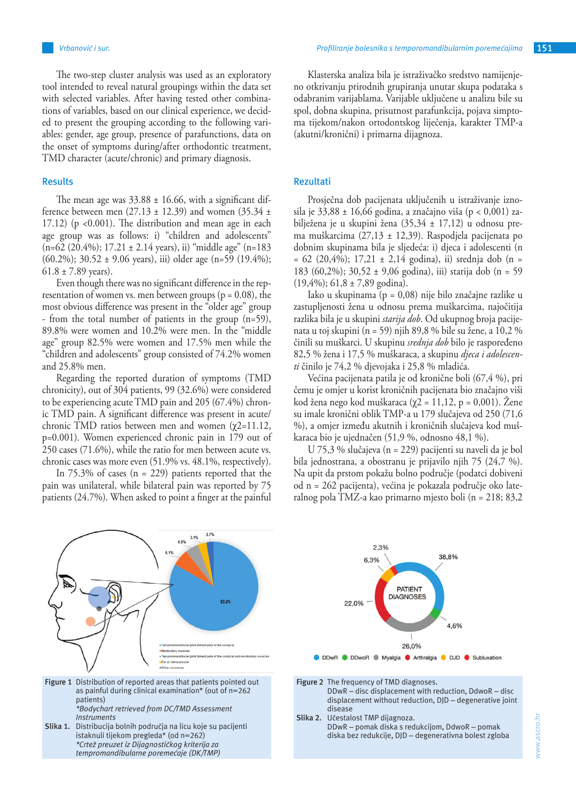The two-step cluster analysis was used as an exploratory tool intended to reveal natural groupings within the data set with selected variables. After having tested other combinations of variables, based on our clinical experience, we decided to present the grouping according to the following variables: gender, age group, presence of parafunctions, data on the onset of symptoms during/after orthodontic treatment, TMD character (acute/chronic) and primary diagnosis.

# **Results**

The mean age was  $33.88 \pm 16.66$ , with a significant difference between men  $(27.13 \pm 12.39)$  and women  $(35.34 \pm 12.39)$ 17.12) ( $p \le 0.001$ ). The distribution and mean age in each age group was as follows: i) "children and adolescents"  $(n=62 (20.4\%); 17.21 \pm 2.14 \text{ years}),$  ii) "middle age"  $(n=183$ (60.2%); 30.52 ± 9.06 years), iii) older age (n=59 (19.4%);  $61.8 \pm 7.89$  years).

Even though there was no significant difference in the representation of women vs. men between groups ( $p = 0.08$ ), the most obvious difference was present in the "older age" group - from the total number of patients in the group (n=59), 89.8% were women and 10.2% were men. In the "middle age" group 82.5% were women and 17.5% men while the "children and adolescents" group consisted of 74.2% women and 25.8% men.

Regarding the reported duration of symptoms (TMD chronicity), out of 304 patients, 99 (32.6%) were considered to be experiencing acute TMD pain and 205 (67.4%) chronic TMD pain. A significant difference was present in acute/ chronic TMD ratios between men and women  $(χ2=11.12,$ p=0.001). Women experienced chronic pain in 179 out of 250 cases (71.6%), while the ratio for men between acute vs. chronic cases was more even (51.9% vs. 48.1%, respectively).

In  $75.3\%$  of cases (n = 229) patients reported that the pain was unilateral, while bilateral pain was reported by 75 patients (24.7%). When asked to point a finger at the painful

Klasterska analiza bila je istraživačko sredstvo namijenjeno otkrivanju prirodnih grupiranja unutar skupa podataka s odabranim varijablama. Varijable uključene u analizu bile su spol, dobna skupina, prisutnost parafunkcija, pojava simptoma tijekom/nakon ortodontskog liječenja, karakter TMP-a (akutni/kronični) i primarna dijagnoza.

# **Rezultati**

Prosječna dob pacijenata uključenih u istraživanje iznosila je 33,88 ± 16,66 godina, a značajno viša (p < 0,001) zabilježena je u skupini žena (35,34 ± 17,12) u odnosu prema muškarcima (27,13 ± 12,39). Raspodjela pacijenata po dobnim skupinama bila je sljedeća: i) djeca i adolescenti (n  $= 62$  (20,4%); 17,21  $\pm$  2,14 godina), ii) srednja dob (n = 183 (60,2%); 30,52 ± 9,06 godina), iii) starija dob (n = 59  $(19,4\%)$ ; 61,8 ± 7,89 godina).

Iako u skupinama (p = 0,08) nije bilo značajne razlike u zastupljenosti žena u odnosu prema muškarcima, najočitija razlika bila je u skupini *starija dob*. Od ukupnog broja pacijenata u toj skupini (n = 59) njih 89,8 % bile su žene, a 10,2 % činili su muškarci. U skupinu *srednja dob* bilo je raspoređeno 82,5 % žena i 17,5 % muškaraca, a skupinu *djeca i adolescenti* činilo je 74,2 % djevojaka i 25,8 % mladića.

Većina pacijenata patila je od kronične boli (67,4 %), pri čemu je omjer u korist kroničnih pacijenata bio značajno viši kod žena nego kod muškaraca (χ2 = 11,12, p = 0,001). Žene su imale kronični oblik TMP-a u 179 slučajeva od 250 (71,6 %), a omjer između akutnih i kroničnih slučajeva kod muškaraca bio je ujednačen (51,9 %, odnosno 48,1 %).

U 75,3 % slučajeva (n = 229) pacijenti su naveli da je bol bila jednostrana, a obostranu je prijavilo njih 75 (24,7 %). Na upit da prstom pokažu bolno područje (podatci dobiveni od n = 262 pacijenta), većina je pokazala područje oko lateralnog pola TMZ-a kao primarno mjesto boli (n = 218; 83,2



Figure 1 Distribution of reported areas that patients pointed out as painful during clinical examination\* (out of n=262 patients)  *\*Bodychart retrieved from DC/TMD Assessment*

*Instruments* **Slika 1.** Distribucija bolnih područja na licu koje su pacijenti istaknuli tijekom pregleda\* (od n=262)  *\*Crtež preuzet iz Dijagnostičkog kriterija za tempromandibularne poremećaje (DK/TMP)*



- Figure 2 The frequency of TMD diagnoses. DDwR – disc displacement with reduction, DdwoR – disc displacement without reduction, DJD – degenerative joint disease
- **Slika 2.** Učestalost TMP dijagnoza. DDwR – pomak diska s redukcijom, DdwoR – pomak diska bez redukcije, DJD – degenerativna bolest zgloba

www.ascro.hr

www.ascro.hr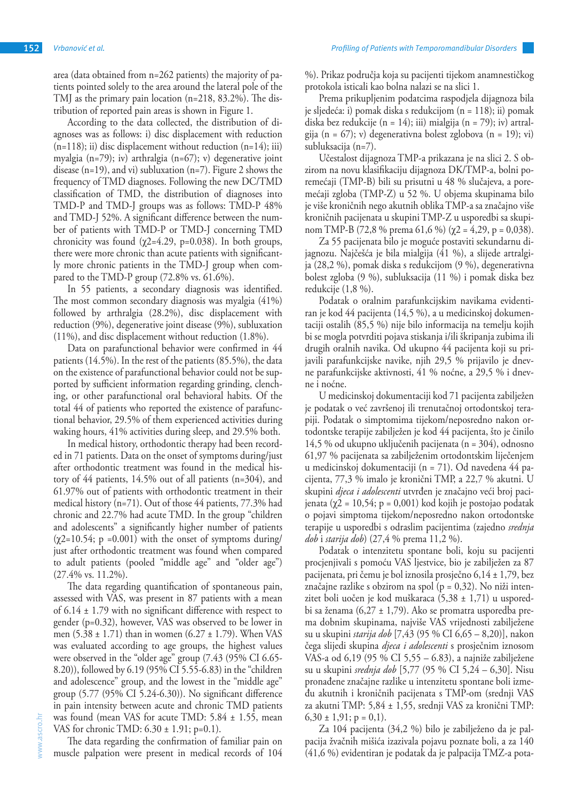area (data obtained from n=262 patients) the majority of patients pointed solely to the area around the lateral pole of the TMJ as the primary pain location (n=218, 83.2%). The distribution of reported pain areas is shown in Figure 1.

According to the data collected, the distribution of diagnoses was as follows: i) disc displacement with reduction  $(n=118)$ ; ii) disc displacement without reduction  $(n=14)$ ; iii) myalgia (n=79); iv) arthralgia (n=67); v) degenerative joint disease  $(n=19)$ , and vi) subluxation  $(n=7)$ . Figure 2 shows the frequency of TMD diagnoses. Following the new DC/TMD classification of TMD, the distribution of diagnoses into TMD-P and TMD-J groups was as follows: TMD-P 48% and TMD-J 52%. A significant difference between the number of patients with TMD-P or TMD-J concerning TMD chronicity was found  $(\chi2=4.29, p=0.038)$ . In both groups, there were more chronic than acute patients with significantly more chronic patients in the TMD-J group when compared to the TMD-P group (72.8% vs. 61.6%).

In 55 patients, a secondary diagnosis was identified. The most common secondary diagnosis was myalgia (41%) followed by arthralgia (28.2%), disc displacement with reduction (9%), degenerative joint disease (9%), subluxation (11%), and disc displacement without reduction (1.8%).

Data on parafunctional behavior were confirmed in 44 patients (14.5%). In the rest of the patients (85.5%), the data on the existence of parafunctional behavior could not be supported by sufficient information regarding grinding, clenching, or other parafunctional oral behavioral habits. Of the total 44 of patients who reported the existence of parafunctional behavior, 29.5% of them experienced activities during waking hours, 41% activities during sleep, and 29.5% both.

In medical history, orthodontic therapy had been recorded in 71 patients. Data on the onset of symptoms during/just after orthodontic treatment was found in the medical history of 44 patients, 14.5% out of all patients (n=304), and 61.97% out of patients with orthodontic treatment in their medical history (n=71). Out of those 44 patients, 77.3% had chronic and 22.7% had acute TMD. In the group "children and adolescents" a significantly higher number of patients  $(\chi2=10.54; p = 0.001)$  with the onset of symptoms during/ just after orthodontic treatment was found when compared to adult patients (pooled "middle age" and "older age") (27.4% vs. 11.2%).

The data regarding quantification of spontaneous pain, assessed with VAS, was present in 87 patients with a mean of  $6.14 \pm 1.79$  with no significant difference with respect to gender (p=0.32), however, VAS was observed to be lower in men  $(5.38 \pm 1.71)$  than in women  $(6.27 \pm 1.79)$ . When VAS was evaluated according to age groups, the highest values were observed in the "older age" group (7.43 (95% CI 6.65- 8.20)), followed by 6.19 (95% CI 5.55-6.83) in the "children and adolescence" group, and the lowest in the "middle age" group (5.77 (95% CI 5.24-6.30)). No significant difference in pain intensity between acute and chronic TMD patients was found (mean VAS for acute TMD: 5.84 ± 1.55, mean VAS for chronic TMD: 6.30 ± 1.91; p=0.1).

The data regarding the confirmation of familiar pain on muscle palpation were present in medical records of 104 %). Prikaz područja koja su pacijenti tijekom anamnestičkog protokola isticali kao bolna nalazi se na slici 1.

Prema prikupljenim podatcima raspodjela dijagnoza bila je sljedeća: i) pomak diska s redukcijom (n = 118); ii) pomak diska bez redukcije (n = 14); iii) mialgija (n = 79); iv) artralgija (n = 67); v) degenerativna bolest zglobova (n = 19); vi) subluksacija (n=7).

Učestalost dijagnoza TMP-a prikazana je na slici 2. S obzirom na novu klasifikaciju dijagnoza DK/TMP-a, bolni poremećaji (TMP-B) bili su prisutni u 48 % slučajeva, a poremećaji zgloba (TMP-Z) u 52 %. U objema skupinama bilo je više kroničnih nego akutnih oblika TMP-a sa značajno više kroničnih pacijenata u skupini TMP-Z u usporedbi sa skupinom TMP-B (72,8 % prema 61,6 %) (χ2 = 4,29, p = 0,038).

Za 55 pacijenata bilo je moguće postaviti sekundarnu dijagnozu. Najčešća je bila mialgija (41 %), a slijede artralgija (28,2 %), pomak diska s redukcijom (9 %), degenerativna bolest zgloba (9 %), subluksacija (11 %) i pomak diska bez redukcije (1,8 %).

Podatak o oralnim parafunkcijskim navikama evidentiran je kod 44 pacijenta (14,5 %), a u medicinskoj dokumentaciji ostalih (85,5 %) nije bilo informacija na temelju kojih bi se mogla potvrditi pojava stiskanja i/ili škripanja zubima ili drugih oralnih navika. Od ukupno 44 pacijenta koji su prijavili parafunkcijske navike, njih 29,5 % prijavilo je dnevne parafunkcijske aktivnosti, 41 % noćne, a 29,5 % i dnevne i noćne.

U medicinskoj dokumentaciji kod 71 pacijenta zabilježen je podatak o već završenoj ili trenutačnoj ortodontskoj terapiji. Podatak o simptomima tijekom/neposredno nakon ortodontske terapije zabilježen je kod 44 pacijenta, što je činilo 14,5 % od ukupno uključenih pacijenata (n = 304), odnosno 61,97 % pacijenata sa zabilježenim ortodontskim liječenjem u medicinskoj dokumentaciji (n = 71). Od navedena 44 pacijenta, 77,3 % imalo je kronični TMP, a 22,7 % akutni. U skupini *djeca i adolescenti* utvrđen je značajno veći broj pacijenata (χ2 = 10,54; p = 0,001) kod kojih je postojao podatak o pojavi simptoma tijekom/neposredno nakon ortodontske terapije u usporedbi s odraslim pacijentima (zajedno *srednja dob* i *starija dob*) (27,4 % prema 11,2 %).

Podatak o intenzitetu spontane boli, koju su pacijenti procjenjivali s pomoću VAS ljestvice, bio je zabilježen za 87 pacijenata, pri čemu je bol iznosila prosječno 6,14 ± 1,79, bez značajne razlike s obzirom na spol ( $p = 0,32$ ). No niži intenzitet boli uočen je kod muškaraca (5,38 ± 1,71) u usporedbi sa ženama (6,27 ± 1,79). Ako se promatra usporedba prema dobnim skupinama, najviše VAS vrijednosti zabilježene su u skupini *starija dob* [7,43 (95 % CI 6,65 – 8,20)], nakon čega slijedi skupina *djeca i adolescenti* s prosječnim iznosom VAS-a od 6,19 (95 % CI 5,55 – 6.83), a najniže zabilježene su u skupini *srednja dob* [5,77 (95 % CI 5,24 – 6,30]. Nisu pronađene značajne razlike u intenzitetu spontane boli između akutnih i kroničnih pacijenata s TMP-om (srednji VAS za akutni TMP: 5,84 ± 1,55, srednji VAS za kronični TMP:  $6,30 \pm 1,91$ ; p = 0,1).

Za 104 pacijenta (34,2 %) bilo je zabilježeno da je palpacija žvačnih mišića izazivala pojavu poznate boli, a za 140 (41,6 %) evidentiran je podatak da je palpacija TMZ-a pota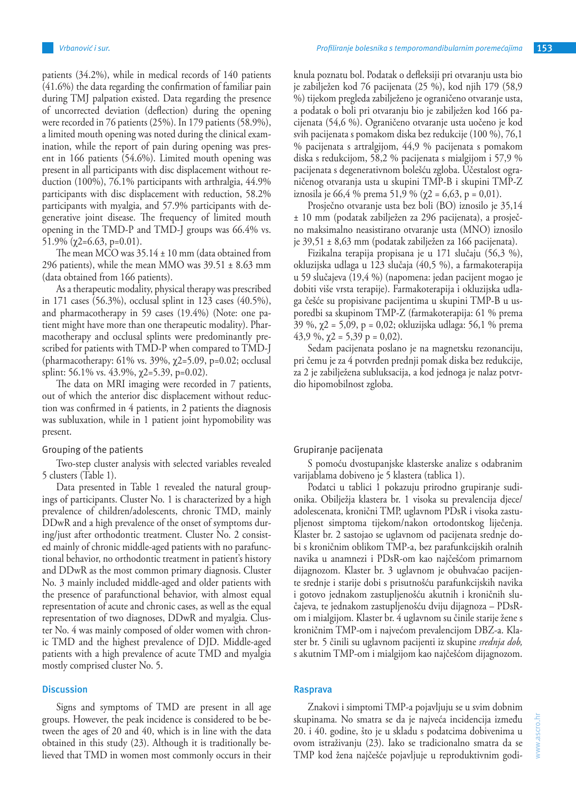patients (34.2%), while in medical records of 140 patients (41.6%) the data regarding the confirmation of familiar pain during TMJ palpation existed. Data regarding the presence of uncorrected deviation (deflection) during the opening were recorded in 76 patients (25%). In 179 patients (58.9%), a limited mouth opening was noted during the clinical examination, while the report of pain during opening was present in 166 patients (54.6%). Limited mouth opening was present in all participants with disc displacement without reduction (100%), 76.1% participants with arthralgia, 44.9% participants with disc displacement with reduction, 58.2% participants with myalgia, and 57.9% participants with degenerative joint disease. The frequency of limited mouth

51.9% (χ2=6.63, p=0.01). The mean MCO was  $35.14 \pm 10$  mm (data obtained from 296 patients), while the mean MMO was  $39.51 \pm 8.63$  mm (data obtained from 166 patients).

opening in the TMD-P and TMD-J groups was 66.4% vs.

As a therapeutic modality, physical therapy was prescribed in 171 cases (56.3%), occlusal splint in 123 cases (40.5%), and pharmacotherapy in 59 cases (19.4%) (Note: one patient might have more than one therapeutic modality). Pharmacotherapy and occlusal splints were predominantly prescribed for patients with TMD-P when compared to TMD-J (pharmacotherapy: 61% vs. 39%, χ2=5.09, p=0.02; occlusal splint: 56.1% vs. 43.9%,  $\chi$ 2=5.39, p=0.02).

The data on MRI imaging were recorded in 7 patients, out of which the anterior disc displacement without reduction was confirmed in 4 patients, in 2 patients the diagnosis was subluxation, while in 1 patient joint hypomobility was present.

#### Grouping of the patients

Two-step cluster analysis with selected variables revealed 5 clusters (Table 1).

Data presented in Table 1 revealed the natural groupings of participants. Cluster No. 1 is characterized by a high prevalence of children/adolescents, chronic TMD, mainly DDwR and a high prevalence of the onset of symptoms during/just after orthodontic treatment. Cluster No. 2 consisted mainly of chronic middle-aged patients with no parafunctional behavior, no orthodontic treatment in patient's history and DDwR as the most common primary diagnosis. Cluster No. 3 mainly included middle-aged and older patients with the presence of parafunctional behavior, with almost equal representation of acute and chronic cases, as well as the equal representation of two diagnoses, DDwR and myalgia. Cluster No. 4 was mainly composed of older women with chronic TMD and the highest prevalence of DJD. Middle-aged patients with a high prevalence of acute TMD and myalgia mostly comprised cluster No. 5.

# **Discussion**

Signs and symptoms of TMD are present in all age groups. However, the peak incidence is considered to be between the ages of 20 and 40, which is in line with the data obtained in this study (23). Although it is traditionally believed that TMD in women most commonly occurs in their knula poznatu bol. Podatak o defleksiji pri otvaranju usta bio je zabilježen kod 76 pacijenata (25 %), kod njih 179 (58,9 %) tijekom pregleda zabilježeno je ograničeno otvaranje usta, a podatak o boli pri otvaranju bio je zabilježen kod 166 pacijenata (54,6 %). Ograničeno otvaranje usta uočeno je kod svih pacijenata s pomakom diska bez redukcije (100 %), 76,1 % pacijenata s artralgijom, 44,9 % pacijenata s pomakom diska s redukcijom, 58,2 % pacijenata s mialgijom i 57,9 % pacijenata s degenerativnom bolešću zgloba. Učestalost ograničenog otvaranja usta u skupini TMP-B i skupini TMP-Z iznosila je 66,4 % prema 51,9 % (χ2 = 6,63, p = 0,01).

Prosječno otvaranje usta bez boli (BO) iznosilo je 35,14 ± 10 mm (podatak zabilježen za 296 pacijenata), a prosječno maksimalno neasistirano otvaranje usta (MNO) iznosilo je 39,51 ± 8,63 mm (podatak zabilježen za 166 pacijenata).

Fizikalna terapija propisana je u 171 slučaju (56,3 %), okluzijska udlaga u 123 slučaja (40,5 %), a farmakoterapija u 59 slučajeva (19,4 %) (napomena: jedan pacijent mogao je dobiti više vrsta terapije). Farmakoterapija i okluzijska udlaga češće su propisivane pacijentima u skupini TMP-B u usporedbi sa skupinom TMP-Z (farmakoterapija: 61 % prema  $39\%$ ,  $\chi$ 2 = 5,09, p = 0,02; okluzijska udlaga: 56,1 % prema 43,9 %,  $\gamma$ 2 = 5,39 p = 0,02).

Sedam pacijenata poslano je na magnetsku rezonanciju, pri čemu je za 4 potvrđen prednji pomak diska bez redukcije, za 2 je zabilježena subluksacija, a kod jednoga je nalaz potvrdio hipomobilnost zgloba.

# Grupiranje pacijenata

S pomoću dvostupanjske klasterske analize s odabranim varijablama dobiveno je 5 klastera (tablica 1).

Podatci u tablici 1 pokazuju prirodno grupiranje sudionika. Obilježja klastera br. 1 visoka su prevalencija djece/ adolescenata, kronični TMP, uglavnom PDsR i visoka zastupljenost simptoma tijekom/nakon ortodontskog liječenja. Klaster br. 2 sastojao se uglavnom od pacijenata srednje dobi s kroničnim oblikom TMP-a, bez parafunkcijskih oralnih navika u anamnezi i PDsR-om kao najčešćom primarnom dijagnozom. Klaster br. 3 uglavnom je obuhvaćao pacijente srednje i starije dobi s prisutnošću parafunkcijskih navika i gotovo jednakom zastupljenošću akutnih i kroničnih slučajeva, te jednakom zastupljenošću dviju dijagnoza – PDsRom i mialgijom. Klaster br. 4 uglavnom su činile starije žene s kroničnim TMP-om i najvećom prevalencijom DBZ-a. Klaster br. 5 činili su uglavnom pacijenti iz skupine *srednja dob,*  s akutnim TMP-om i mialgijom kao najčešćom dijagnozom.

# **Rasprava**

Znakovi i simptomi TMP-a pojavljuju se u svim dobnim skupinama. No smatra se da je najveća incidencija između 20. i 40. godine, što je u skladu s podatcima dobivenima u ovom istraživanju (23). Iako se tradicionalno smatra da se TMP kod žena najčešće pojavljuje u reproduktivnim godi-

www.ascro.hr

www.ascro.hr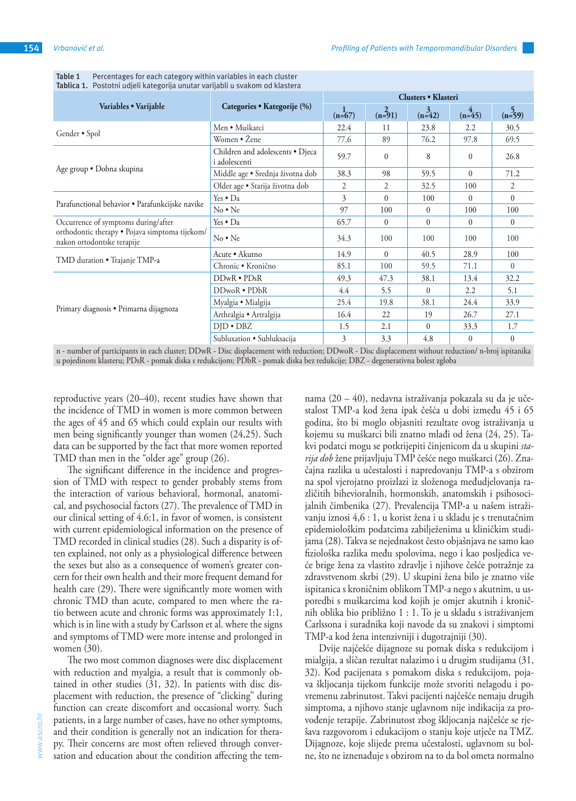| Variables • Varijable                                                                                               | Categories • Kategorije (%)                       | Clusters • Klasteri |                    |                    |                |                    |
|---------------------------------------------------------------------------------------------------------------------|---------------------------------------------------|---------------------|--------------------|--------------------|----------------|--------------------|
|                                                                                                                     |                                                   | $(n=67)$            | $\frac{2}{(n=91)}$ | $\frac{3}{(n=42)}$ | $(n=45)$       | $\frac{5}{(n=59)}$ |
| Gender • Spol                                                                                                       | Men • Muškarci                                    | 22.4                | 11                 | 23.8               | 2.2            | 30.5               |
|                                                                                                                     | Women • Žene                                      | 77.6                | 89                 | 76.2               | 97.8           | 69.5               |
| Age group . Dobna skupina                                                                                           | Children and adolescents • Djeca<br>i adolescenti | 59.7                | $\mathbf{0}$       | 8                  | $\theta$       | 26.8               |
|                                                                                                                     | Middle age · Srednja životna dob                  | 38.3                | 98                 | 59.5               | $\Omega$       | 71.2               |
|                                                                                                                     | Older age · Starija životna dob                   | 2                   | $\overline{2}$     | 32.5               | 100            | $\overline{2}$     |
| Parafunctional behavior • Parafunkcijske navike                                                                     | Yes • Da                                          | 3                   | $\Omega$           | 100                | $\Omega$       | $\mathbf{0}$       |
|                                                                                                                     | $No \cdot Ne$                                     | 97                  | 100                | $\theta$           | 100            | 100                |
| Occurrence of symptoms during/after<br>orthodontic therapy · Pojava simptoma tijekom/<br>nakon ortodontske terapije | Yes • Da                                          | 65.7                | $\Omega$           | $\theta$           | $\Omega$       | $\Omega$           |
|                                                                                                                     | $No \cdot Ne$                                     | 34.3                | 100                | 100                | 100            | 100                |
| TMD duration • Trajanje TMP-a                                                                                       | Acute • Akutno                                    | 14.9                | $\theta$           | 40.5               | 28.9           | 100                |
|                                                                                                                     | Chronic · Kronično                                | 85.1                | 100                | 59.5               | 71.1           | $\Omega$           |
| Primary diagnosis · Primarna dijagnoza                                                                              | $DDwR \cdot PDsR$                                 | 49.3                | 47.3               | 38.1               | 13.4           | 32.2               |
|                                                                                                                     | $DDwoR \cdot PDBR$                                | 4.4                 | 5.5                | $\mathbf{0}$       | 2.2            | 5.1                |
|                                                                                                                     | Myalgia • Mialgija                                | 25.4                | 19.8               | 38.1               | 24.4           | 33.9               |
|                                                                                                                     | Arthralgia · Artralgija                           | 16.4                | 22                 | 19                 | 26.7           | 27.1               |
|                                                                                                                     | $DID \cdot DBZ$                                   | 1.5                 | 2.1                | $\theta$           | 33.3           | 1.7                |
|                                                                                                                     | Subluxation · Subluksacija                        | 3                   | 3.3                | 4.8                | $\overline{0}$ | $\mathbf{0}$       |

**Table 1** Percentages for each category within variables in each cluster **Tablica 1.** Postotni udjeli kategorija unutar varijabli u svakom od klastera

n - number of participants in each cluster; DDwR - Disc displacement with reduction; DDwoR - Disc displacement without reduction/ n-broj ispitanika u pojedinom klasteru; PDsR - pomak diska s redukcijom; PDbR - pomak diska bez redukcije; DBZ - degenerativna bolest zgloba

reproductive years (20–40), recent studies have shown that the incidence of TMD in women is more common between the ages of 45 and 65 which could explain our results with men being significantly younger than women (24,25). Such data can be supported by the fact that more women reported TMD than men in the "older age" group (26).

The significant difference in the incidence and progression of TMD with respect to gender probably stems from the interaction of various behavioral, hormonal, anatomical, and psychosocial factors (27). The prevalence of TMD in our clinical setting of 4.6:1, in favor of women, is consistent with current epidemiological information on the presence of TMD recorded in clinical studies (28). Such a disparity is often explained, not only as a physiological difference between the sexes but also as a consequence of women's greater concern for their own health and their more frequent demand for health care (29). There were significantly more women with chronic TMD than acute, compared to men where the ratio between acute and chronic forms was approximately 1:1, which is in line with a study by Carlsson et al. where the signs and symptoms of TMD were more intense and prolonged in women (30).

The two most common diagnoses were disc displacement with reduction and myalgia, a result that is commonly obtained in other studies (31, 32). In patients with disc displacement with reduction, the presence of "clicking" during function can create discomfort and occasional worry. Such patients, in a large number of cases, have no other symptoms, and their condition is generally not an indication for therapy. Their concerns are most often relieved through conversation and education about the condition affecting the tem-

nama (20 – 40), nedavna istraživanja pokazala su da je učestalost TMP-a kod žena ipak češća u dobi između 45 i 65 godina, što bi moglo objasniti rezultate ovog istraživanja u kojemu su muškarci bili znatno mlađi od žena (24, 25). Takvi podatci mogu se potkrijepiti činjenicom da u skupini *starija dob* žene prijavljuju TMP češće nego muškarci (26). Značajna razlika u učestalosti i napredovanju TMP-a s obzirom na spol vjerojatno proizlazi iz složenoga međudjelovanja različitih bihevioralnih, hormonskih, anatomskih i psihosocijalnih čimbenika (27). Prevalencija TMP-a u našem istraživanju iznosi 4,6 : 1, u korist žena i u skladu je s trenutačnim epidemiološkim podatcima zabilježenima u kliničkim studijama (28). Takva se nejednakost često objašnjava ne samo kao fiziološka razlika među spolovima, nego i kao posljedica veće brige žena za vlastito zdravlje i njihove češće potražnje za zdravstvenom skrbi (29). U skupini žena bilo je znatno više ispitanica s kroničnim oblikom TMP-a nego s akutnim, u usporedbi s muškarcima kod kojih je omjer akutnih i kroničnih oblika bio približno 1 : 1. To je u skladu s istraživanjem Carlssona i suradnika koji navode da su znakovi i simptomi TMP-a kod žena intenzivniji i dugotrajniji (30).

Dvije najčešće dijagnoze su pomak diska s redukcijom i mialgija, a sličan rezultat nalazimo i u drugim studijama (31, 32). Kod pacijenata s pomakom diska s redukcijom, pojava škljocanja tijekom funkcije može stvoriti nelagodu i povremenu zabrinutost. Takvi pacijenti najčešće nemaju drugih simptoma, a njihovo stanje uglavnom nije indikacija za provođenje terapije. Zabrinutost zbog škljocanja najčešće se rješava razgovorom i edukacijom o stanju koje utječe na TMZ. Dijagnoze, koje slijede prema učestalosti, uglavnom su bolne, što ne iznenađuje s obzirom na to da bol ometa normalno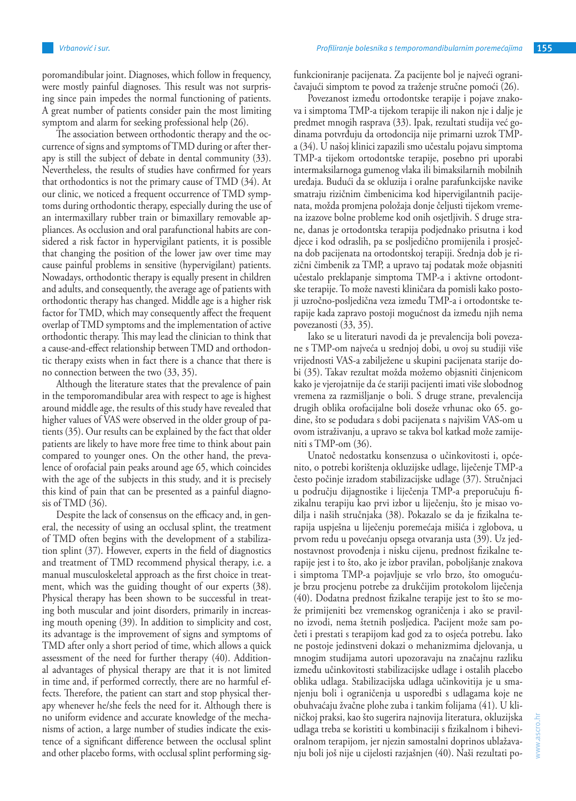poromandibular joint. Diagnoses, which follow in frequency, were mostly painful diagnoses. This result was not surprising since pain impedes the normal functioning of patients. A great number of patients consider pain the most limiting symptom and alarm for seeking professional help (26).

The association between orthodontic therapy and the occurrence of signs and symptoms of TMD during or after therapy is still the subject of debate in dental community (33). Nevertheless, the results of studies have confirmed for years that orthodontics is not the primary cause of TMD (34). At our clinic, we noticed a frequent occurrence of TMD symptoms during orthodontic therapy, especially during the use of an intermaxillary rubber train or bimaxillary removable appliances. As occlusion and oral parafunctional habits are considered a risk factor in hypervigilant patients, it is possible that changing the position of the lower jaw over time may cause painful problems in sensitive (hypervigilant) patients. Nowadays, orthodontic therapy is equally present in children and adults, and consequently, the average age of patients with orthodontic therapy has changed. Middle age is a higher risk factor for TMD, which may consequently affect the frequent overlap of TMD symptoms and the implementation of active orthodontic therapy. This may lead the clinician to think that a cause-and-effect relationship between TMD and orthodontic therapy exists when in fact there is a chance that there is no connection between the two (33, 35).

Although the literature states that the prevalence of pain in the temporomandibular area with respect to age is highest around middle age, the results of this study have revealed that higher values of VAS were observed in the older group of patients (35). Our results can be explained by the fact that older patients are likely to have more free time to think about pain compared to younger ones. On the other hand, the prevalence of orofacial pain peaks around age 65, which coincides with the age of the subjects in this study, and it is precisely this kind of pain that can be presented as a painful diagnosis of TMD (36).

Despite the lack of consensus on the efficacy and, in general, the necessity of using an occlusal splint, the treatment of TMD often begins with the development of a stabilization splint (37). However, experts in the field of diagnostics and treatment of TMD recommend physical therapy, i.e. a manual musculoskeletal approach as the first choice in treatment, which was the guiding thought of our experts (38). Physical therapy has been shown to be successful in treating both muscular and joint disorders, primarily in increasing mouth opening (39). In addition to simplicity and cost, its advantage is the improvement of signs and symptoms of TMD after only a short period of time, which allows a quick assessment of the need for further therapy (40). Additional advantages of physical therapy are that it is not limited in time and, if performed correctly, there are no harmful effects. Therefore, the patient can start and stop physical therapy whenever he/she feels the need for it. Although there is no uniform evidence and accurate knowledge of the mechanisms of action, a large number of studies indicate the existence of a significant difference between the occlusal splint and other placebo forms, with occlusal splint performing sigfunkcioniranje pacijenata. Za pacijente bol je najveći ograničavajući simptom te povod za traženje stručne pomoći (26).

Povezanost između ortodontske terapije i pojave znakova i simptoma TMP-a tijekom terapije ili nakon nje i dalje je predmet mnogih rasprava (33). Ipak, rezultati studija već godinama potvrđuju da ortodoncija nije primarni uzrok TMPa (34). U našoj klinici zapazili smo učestalu pojavu simptoma TMP-a tijekom ortodontske terapije, posebno pri uporabi intermaksilarnoga gumenog vlaka ili bimaksilarnih mobilnih uređaja. Budući da se okluzija i oralne parafunkcijske navike smatraju rizičnim čimbenicima kod hipervigilantnih pacijenata, možda promjena položaja donje čeljusti tijekom vremena izazove bolne probleme kod onih osjetljivih. S druge strane, danas je ortodontska terapija podjednako prisutna i kod djece i kod odraslih, pa se posljedično promijenila i prosječna dob pacijenata na ortodontskoj terapiji. Srednja dob je rizični čimbenik za TMP, a upravo taj podatak može objasniti učestalo preklapanje simptoma TMP-a i aktivne ortodontske terapije. To može navesti kliničara da pomisli kako postoji uzročno-posljedična veza između TMP-a i ortodontske terapije kada zapravo postoji mogućnost da između njih nema povezanosti (33, 35).

Iako se u literaturi navodi da je prevalencija boli povezane s TMP-om najveća u srednjoj dobi, u ovoj su studiji više vrijednosti VAS-a zabilježene u skupini pacijenata starije dobi (35). Takav rezultat možda možemo objasniti činjenicom kako je vjerojatnije da će stariji pacijenti imati više slobodnog vremena za razmišljanje o boli. S druge strane, prevalencija drugih oblika orofacijalne boli doseže vrhunac oko 65. godine, što se podudara s dobi pacijenata s najvišim VAS-om u ovom istraživanju, a upravo se takva bol katkad može zamijeniti s TMP-om (36).

Unatoč nedostatku konsenzusa o učinkovitosti i, općenito, o potrebi korištenja okluzijske udlage, liječenje TMP-a često počinje izradom stabilizacijske udlage (37). Stručnjaci u području dijagnostike i liječenja TMP-a preporučuju fizikalnu terapiju kao prvi izbor u liječenju, što je misao vodilja i naših stručnjaka (38). Pokazalo se da je fizikalna terapija uspješna u liječenju poremećaja mišića i zglobova, u prvom redu u povećanju opsega otvaranja usta (39). Uz jednostavnost provođenja i nisku cijenu, prednost fizikalne terapije jest i to što, ako je izbor pravilan, poboljšanje znakova i simptoma TMP-a pojavljuje se vrlo brzo, što omogućuje brzu procjenu potrebe za drukčijim protokolom liječenja (40). Dodatna prednost fizikalne terapije jest to što se može primijeniti bez vremenskog ograničenja i ako se pravilno izvodi, nema štetnih posljedica. Pacijent može sam početi i prestati s terapijom kad god za to osjeća potrebu. Iako ne postoje jedinstveni dokazi o mehanizmima djelovanja, u mnogim studijama autori upozoravaju na značajnu razliku između učinkovitosti stabilizacijske udlage i ostalih placebo oblika udlaga. Stabilizacijska udlaga učinkovitija je u smanjenju boli i ograničenja u usporedbi s udlagama koje ne obuhvaćaju žvačne plohe zuba i tankim folijama (41). U kliničkoj praksi, kao što sugerira najnovija literatura, okluzijska udlaga treba se koristiti u kombinaciji s fizikalnom i bihevioralnom terapijom, jer njezin samostalni doprinos ublažavanju boli još nije u cijelosti razjašnjen (40). Naši rezultati po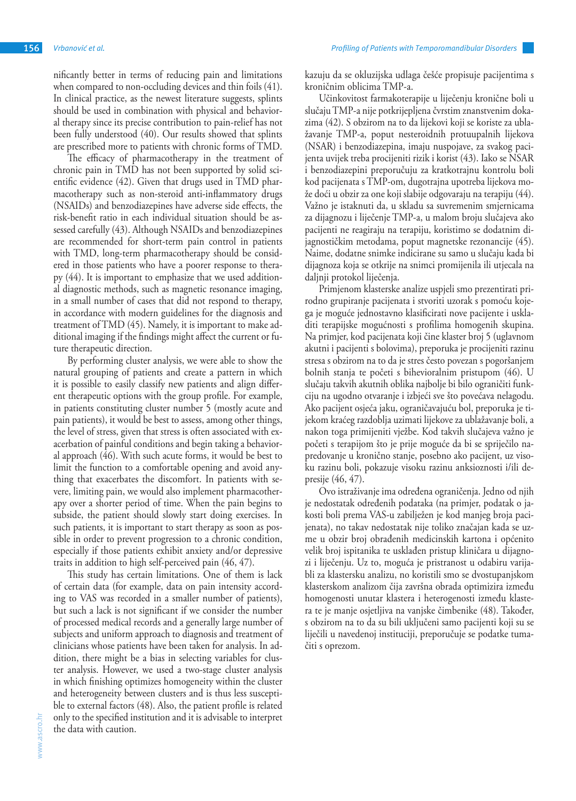nificantly better in terms of reducing pain and limitations when compared to non-occluding devices and thin foils (41). In clinical practice, as the newest literature suggests, splints should be used in combination with physical and behavioral therapy since its precise contribution to pain-relief has not been fully understood (40). Our results showed that splints are prescribed more to patients with chronic forms of TMD.

The efficacy of pharmacotherapy in the treatment of chronic pain in TMD has not been supported by solid scientific evidence (42). Given that drugs used in TMD pharmacotherapy such as non-steroid anti-inflammatory drugs (NSAIDs) and benzodiazepines have adverse side effects, the risk-benefit ratio in each individual situation should be assessed carefully (43). Although NSAIDs and benzodiazepines are recommended for short-term pain control in patients with TMD, long-term pharmacotherapy should be considered in those patients who have a poorer response to therapy (44). It is important to emphasize that we used additional diagnostic methods, such as magnetic resonance imaging, in a small number of cases that did not respond to therapy, in accordance with modern guidelines for the diagnosis and treatment of TMD (45). Namely, it is important to make additional imaging if the findings might affect the current or future therapeutic direction.

By performing cluster analysis, we were able to show the natural grouping of patients and create a pattern in which it is possible to easily classify new patients and align different therapeutic options with the group profile. For example, in patients constituting cluster number 5 (mostly acute and pain patients), it would be best to assess, among other things, the level of stress, given that stress is often associated with exacerbation of painful conditions and begin taking a behavioral approach (46). With such acute forms, it would be best to limit the function to a comfortable opening and avoid anything that exacerbates the discomfort. In patients with severe, limiting pain, we would also implement pharmacotherapy over a shorter period of time. When the pain begins to subside, the patient should slowly start doing exercises. In such patients, it is important to start therapy as soon as possible in order to prevent progression to a chronic condition, especially if those patients exhibit anxiety and/or depressive traits in addition to high self-perceived pain (46, 47).

This study has certain limitations. One of them is lack of certain data (for example, data on pain intensity according to VAS was recorded in a smaller number of patients), but such a lack is not significant if we consider the number of processed medical records and a generally large number of subjects and uniform approach to diagnosis and treatment of clinicians whose patients have been taken for analysis. In addition, there might be a bias in selecting variables for cluster analysis. However, we used a two-stage cluster analysis in which finishing optimizes homogeneity within the cluster and heterogeneity between clusters and is thus less susceptible to external factors (48). Also, the patient profile is related only to the specified institution and it is advisable to interpret the data with caution.

kazuju da se okluzijska udlaga češće propisuje pacijentima s kroničnim oblicima TMP-a.

Učinkovitost farmakoterapije u liječenju kronične boli u slučaju TMP-a nije potkrijepljena čvrstim znanstvenim dokazima (42). S obzirom na to da lijekovi koji se koriste za ublažavanje TMP-a, poput nesteroidnih protuupalnih lijekova (NSAR) i benzodiazepina, imaju nuspojave, za svakog pacijenta uvijek treba procijeniti rizik i korist (43). Iako se NSAR i benzodiazepini preporučuju za kratkotrajnu kontrolu boli kod pacijenata s TMP-om, dugotrajna upotreba lijekova može doći u obzir za one koji slabije odgovaraju na terapiju (44). Važno je istaknuti da, u skladu sa suvremenim smjernicama za dijagnozu i liječenje TMP-a, u malom broju slučajeva ako pacijenti ne reagiraju na terapiju, koristimo se dodatnim dijagnostičkim metodama, poput magnetske rezonancije (45). Naime, dodatne snimke indicirane su samo u slučaju kada bi dijagnoza koja se otkrije na snimci promijenila ili utjecala na daljnji protokol liječenja.

Primjenom klasterske analize uspjeli smo prezentirati prirodno grupiranje pacijenata i stvoriti uzorak s pomoću kojega je moguće jednostavno klasificirati nove pacijente i uskladiti terapijske mogućnosti s profilima homogenih skupina. Na primjer, kod pacijenata koji čine klaster broj 5 (uglavnom akutni i pacijenti s bolovima), preporuka je procijeniti razinu stresa s obzirom na to da je stres često povezan s pogoršanjem bolnih stanja te početi s bihevioralnim pristupom (46). U slučaju takvih akutnih oblika najbolje bi bilo ograničiti funkciju na ugodno otvaranje i izbjeći sve što povećava nelagodu. Ako pacijent osjeća jaku, ograničavajuću bol, preporuka je tijekom kraćeg razdoblja uzimati lijekove za ublažavanje boli, a nakon toga primijeniti vježbe. Kod takvih slučajeva važno je početi s terapijom što je prije moguće da bi se spriječilo napredovanje u kronično stanje, posebno ako pacijent, uz visoku razinu boli, pokazuje visoku razinu anksioznosti i/ili depresije (46, 47).

Ovo istraživanje ima određena ograničenja. Jedno od njih je nedostatak određenih podataka (na primjer, podatak o jakosti boli prema VAS-u zabilježen je kod manjeg broja pacijenata), no takav nedostatak nije toliko značajan kada se uzme u obzir broj obrađenih medicinskih kartona i općenito velik broj ispitanika te usklađen pristup kliničara u dijagnozi i liječenju. Uz to, moguća je pristranost u odabiru varijabli za klastersku analizu, no koristili smo se dvostupanjskom klasterskom analizom čija završna obrada optimizira između homogenosti unutar klastera i heterogenosti između klastera te je manje osjetljiva na vanjske čimbenike (48). Također, s obzirom na to da su bili uključeni samo pacijenti koji su se liječili u navedenoj instituciji, preporučuje se podatke tumačiti s oprezom.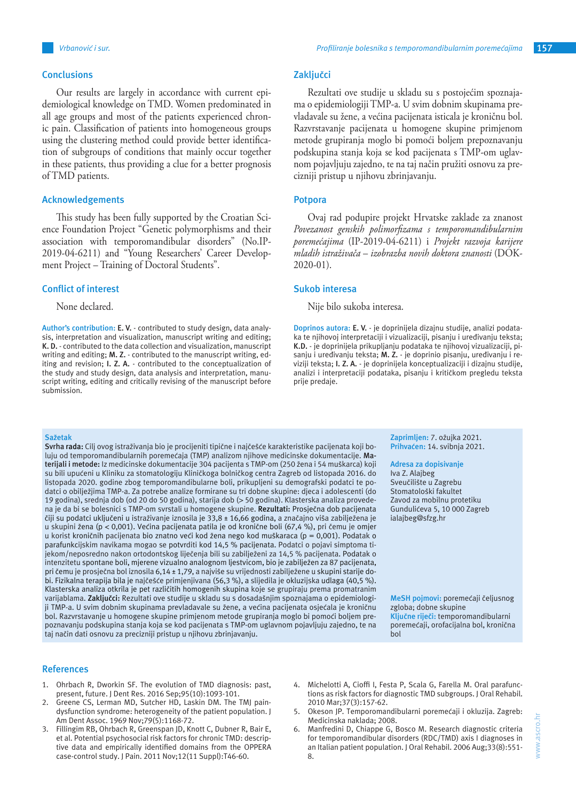#### **Conclusions**

Our results are largely in accordance with current epidemiological knowledge on TMD. Women predominated in all age groups and most of the patients experienced chronic pain. Classification of patients into homogeneous groups using the clustering method could provide better identification of subgroups of conditions that mainly occur together in these patients, thus providing a clue for a better prognosis of TMD patients.

#### **Acknowledgements**

This study has been fully supported by the Croatian Science Foundation Project "Genetic polymorphisms and their association with temporomandibular disorders" (No.IP-2019-04-6211) and "Young Researchers' Career Development Project – Training of Doctoral Students".

#### **Conflict of interest**

None declared.

**Author's contribution: E. V.** - contributed to study design, data analysis, interpretation and visualization, manuscript writing and editing; **K. D.** - contributed to the data collection and visualization, manuscript writing and editing; **M. Z.** - contributed to the manuscript writing, editing and revision; **I. Z. A.** - contributed to the conceptualization of the study and study design, data analysis and interpretation, manuscript writing, editing and critically revising of the manuscript before submission.

#### **Zaključci**

Rezultati ove studije u skladu su s postojećim spoznajama o epidemiologiji TMP-a. U svim dobnim skupinama prevladavale su žene, a većina pacijenata isticala je kroničnu bol. Razvrstavanje pacijenata u homogene skupine primjenom metode grupiranja moglo bi pomoći boljem prepoznavanju podskupina stanja koja se kod pacijenata s TMP-om uglavnom pojavljuju zajedno, te na taj način pružiti osnovu za precizniji pristup u njihovu zbrinjavanju.

### **Potpora**

Ovaj rad podupire projekt Hrvatske zaklade za znanost *Povezanost genskih polimorfizama s temporomandibularnim poremećajima* (IP-2019-04-6211) i *Projekt razvoja karijere mladih istraživača* – *izobrazba novih doktora znanosti* (DOK-2020-01).

# **Sukob interesa**

Nije bilo sukoba interesa.

**Doprinos autora: E. V.** - je doprinijela dizajnu studije, analizi podataka te njihovoj interpretaciji i vizualizaciji, pisanju i uređivanju teksta; **K.D.** - je doprinijela prikupljanju podataka te njihovoj vizualizaciji, pisanju i uređivanju teksta; **M. Z.** - je doprinio pisanju, uređivanju i reviziji teksta; **I. Z. A.** - je doprinijela konceptualizaciji i dizajnu studije, analizi i interpretaciji podataka, pisanju i kritičkom pregledu teksta prije predaje.

#### **Sažetak**

**Svrha rada:** Cilj ovog istraživanja bio je procijeniti tipične i najčešće karakteristike pacijenata koji boluju od temporomandibularnih poremećaja (TMP) analizom njihove medicinske dokumentacije. **Materijali i metode:** Iz medicinske dokumentacije 304 pacijenta s TMP-om (250 žena i 54 muškarca) koji su bili upućeni u Kliniku za stomatologiju Kliničkoga bolničkog centra Zagreb od listopada 2016. do listopada 2020. godine zbog temporomandibularne boli, prikupljeni su demografski podatci te podatci o obilježjima TMP-a. Za potrebe analize formirane su tri dobne skupine: djeca i adolescenti (do 19 godina), srednja dob (od 20 do 50 godina), starija dob (> 50 godina). Klasterska analiza provedena je da bi se bolesnici s TMP-om svrstali u homogene skupine. **Rezultati:** Prosječna dob pacijenata čiji su podatci uključeni u istraživanje iznosila je 33,8 ± 16,66 godina, a značajno viša zabilježena je u skupini žena (p < 0,001). Većina pacijenata patila je od kronične boli (67,4 %), pri čemu je omjer u korist kroničnih pacijenata bio znatno veći kod žena nego kod muškaraca (p = 0,001). Podatak o parafunkcijskim navikama mogao se potvrditi kod 14,5 % pacijenata. Podatci o pojavi simptoma tijekom/neposredno nakon ortodontskog liječenja bili su zabilježeni za 14,5 % pacijenata. Podatak o intenzitetu spontane boli, mjerene vizualno analognom ljestvicom, bio je zabilježen za 87 pacijenata, pri čemu je prosječna bol iznosila 6,14 ± 1,79, a najviše su vrijednosti zabilježene u skupini starije dobi. Fizikalna terapija bila je najčešće primjenjivana (56,3 %), a slijedila je okluzijska udlaga (40,5 %). Klasterska analiza otkrila je pet različitih homogenih skupina koje se grupiraju prema promatranim varijablama. **Zaključci:** Rezultati ove studije u skladu su s dosadašnjim spoznajama o epidemiologiji TMP-a. U svim dobnim skupinama prevladavale su žene, a većina pacijenata osjećala je kroničnu bol. Razvrstavanje u homogene skupine primjenom metode grupiranja moglo bi pomoći boljem prepoznavanju podskupina stanja koja se kod pacijenata s TMP-om uglavnom pojavljuju zajedno, te na taj način dati osnovu za precizniji pristup u njihovu zbrinjavanju.

#### **References**

- 1. Ohrbach R, Dworkin SF. The evolution of TMD diagnosis: past, present, future. J Dent Res. 2016 Sep;95(10):1093-101.
- Greene CS, Lerman MD, Sutcher HD, Laskin DM. The TMJ paindysfunction syndrome: heterogeneity of the patient population. J Am Dent Assoc. 1969 Nov;79(5):1168-72.
- 3. Fillingim RB, Ohrbach R, Greenspan JD, Knott C, Dubner R, Bair E, et al. Potential psychosocial risk factors for chronic TMD: descriptive data and empirically identified domains from the OPPERA case-control study. J Pain. 2011 Nov;12(11 Suppl):T46-60.

**Zaprimljen:** 7. ožujka 2021. **Prihvaćen:** 14. svibnja 2021.

#### **Adresa za dopisivanje**

Iva Z. Alajbeg Sveučilište u Zagrebu Stomatološki fakultet Zavod za mobilnu protetiku Gundulićeva 5, 10 000 Zagreb ialajbeg@sfzg.hr

**MeSH pojmovi:** poremećaji čeljusnog zgloba; dobne skupine **Ključne riječi:** temporomandibularni poremećaji, orofacijalna bol, kronična bol

- 4. Michelotti A, Cioffi I, Festa P, Scala G, Farella M. Oral parafunctions as risk factors for diagnostic TMD subgroups. J Oral Rehabil. 2010 Mar;37(3):157-62.
- 5. Okeson JP. Temporomandibularni poremećaji i okluzija. Zagreb: Medicinska naklada; 2008.
- 6. Manfredini D, Chiappe G, Bosco M. Research diagnostic criteria for temporomandibular disorders (RDC/TMD) axis I diagnoses in an Italian patient population. J Oral Rehabil. 2006 Aug;33(8):551- 8.